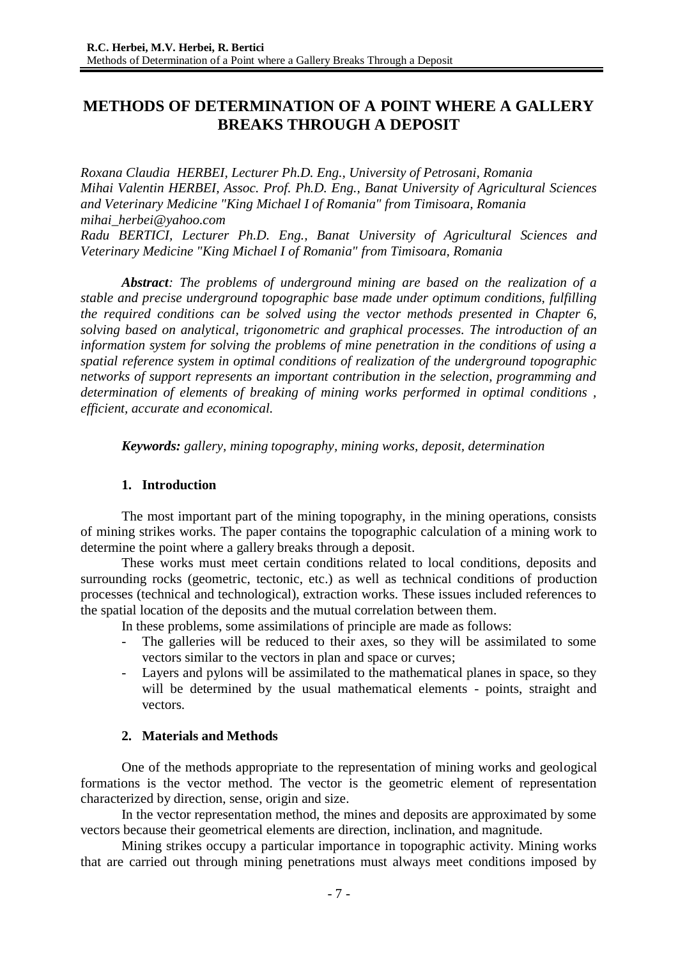# **METHODS OF DETERMINATION OF A POINT WHERE A GALLERY BREAKS THROUGH A DEPOSIT**

*Roxana Claudia HERBEI, Lecturer Ph.D. Eng., University of Petrosani, Romania Mihai Valentin HERBEI, Assoc. Prof. Ph.D. Eng., Banat University of Agricultural Sciences and Veterinary Medicine "King Michael I of Romania" from Timisoara, Romania [mihai\\_herbei@yahoo.com](mailto:mihai_herbei@yahoo.com) Radu BERTICI, Lecturer Ph.D. Eng., Banat University of Agricultural Sciences and Veterinary Medicine "King Michael I of Romania" from Timisoara, Romania*

*Abstract: The problems of underground mining are based on the realization of a stable and precise underground topographic base made under optimum conditions, fulfilling the required conditions can be solved using the vector methods presented in Chapter 6, solving based on analytical, trigonometric and graphical processes. The introduction of an information system for solving the problems of mine penetration in the conditions of using a spatial reference system in optimal conditions of realization of the underground topographic networks of support represents an important contribution in the selection, programming and determination of elements of breaking of mining works performed in optimal conditions , efficient, accurate and economical.*

*Keywords: gallery, mining topography, mining works, deposit, determination*

# **1. Introduction**

The most important part of the mining topography, in the mining operations, consists of mining strikes works. The paper contains the topographic calculation of a mining work to determine the point where a gallery breaks through a deposit.

These works must meet certain conditions related to local conditions, deposits and surrounding rocks (geometric, tectonic, etc.) as well as technical conditions of production processes (technical and technological), extraction works. These issues included references to the spatial location of the deposits and the mutual correlation between them.

In these problems, some assimilations of principle are made as follows:

- The galleries will be reduced to their axes, so they will be assimilated to some vectors similar to the vectors in plan and space or curves;
- Layers and pylons will be assimilated to the mathematical planes in space, so they will be determined by the usual mathematical elements - points, straight and vectors.

# **2. Materials and Methods**

One of the methods appropriate to the representation of mining works and geological formations is the vector method. The vector is the geometric element of representation characterized by direction, sense, origin and size.

In the vector representation method, the mines and deposits are approximated by some vectors because their geometrical elements are direction, inclination, and magnitude.

Mining strikes occupy a particular importance in topographic activity. Mining works that are carried out through mining penetrations must always meet conditions imposed by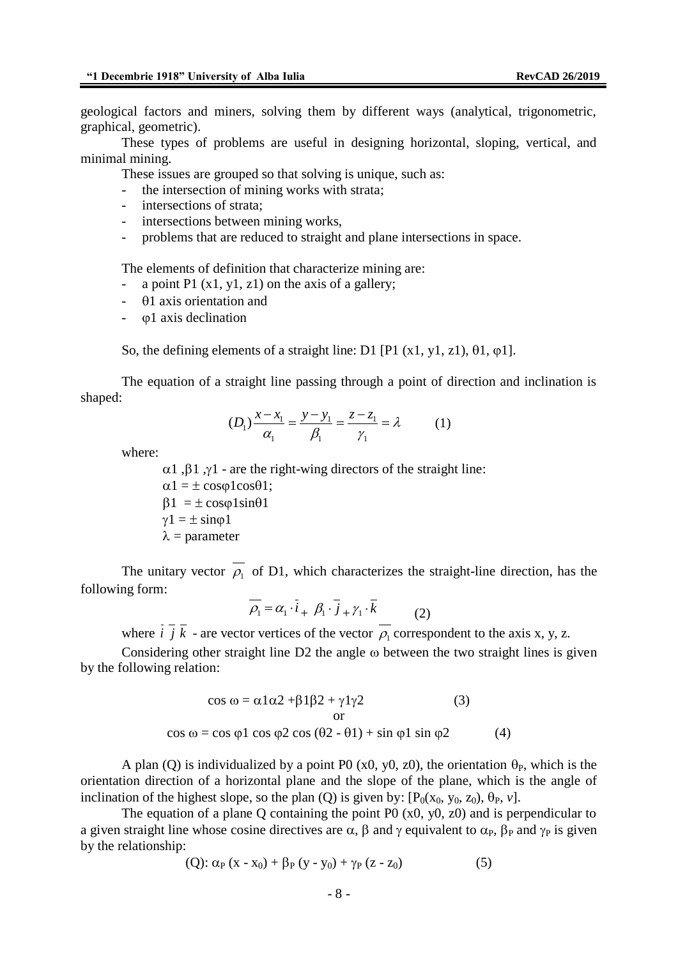geological factors and miners, solving them by different ways (analytical, trigonometric, graphical, geometric).

These types of problems are useful in designing horizontal, sloping, vertical, and minimal mining.

These issues are grouped so that solving is unique, such as:

- the intersection of mining works with strata;
- intersections of strata;
- intersections between mining works,
- problems that are reduced to straight and plane intersections in space.

The elements of definition that characterize mining are:

- a point P1  $(x1, y1, z1)$  on the axis of a gallery;
- $-$  01 axis orientation and
- $\varphi$ 1 axis declination

So, the defining elements of a straight line: D1 [P1 (x1, y1, z1),  $\theta$ 1,  $\varphi$ 1].

The equation of a straight line passing through a point of direction and inclination is shaped:

$$
(D_1)\frac{x - x_1}{\alpha_1} = \frac{y - y_1}{\beta_1} = \frac{z - z_1}{\gamma_1} = \lambda \tag{1}
$$

where:

 $\alpha$ 1,  $\beta$ 1,  $\gamma$ 1 - are the right-wing directors of the straight line:  $\alpha$ 1 =  $\pm$  cos $\varphi$ 1cos $\theta$ 1;  $\beta$ 1 =  $\pm$  cos $\varphi$ 1sin $\theta$ 1  $\gamma$ 1 =  $\pm$  sino1  $\lambda$  = parameter

The unitary vector  $\rho_1$  of D1, which characterizes the straight-line direction, has the following form:

$$
\overline{\rho_1} = \alpha_1 \cdot \overline{i} + \beta_1 \cdot \overline{j} + \gamma_1 \cdot \overline{k} \tag{2}
$$

where *i j k* - are vector vertices of the vector  $\rho_1$  correspondent to the axis x, y, z.

Considering other straight line  $D2$  the angle  $\omega$  between the two straight lines is given by the following relation:

$$
\cos \omega = \alpha 1 \alpha 2 + \beta 1 \beta 2 + \gamma 1 \gamma 2 \qquad (3)
$$
  
or  

$$
\cos \omega = \cos \varphi 1 \cos \varphi 2 \cos (\theta 2 - \theta 1) + \sin \varphi 1 \sin \varphi 2 \qquad (4)
$$

A plan (Q) is individualized by a point P0 (x0, y0, z0), the orientation  $\theta_{P}$ , which is the orientation direction of a horizontal plane and the slope of the plane, which is the angle of inclination of the highest slope, so the plan (Q) is given by:  $[P_0(x_0, y_0, z_0), \theta_P, v]$ .

The equation of a plane Q containing the point P0 (x0, y0, z0) and is perpendicular to a given straight line whose cosine directives are  $\alpha$ ,  $\beta$  and  $\gamma$  equivalent to  $\alpha_{P}$ ,  $\beta_{P}$  and  $\gamma_{P}$  is given by the relationship:

(Q): 
$$
\alpha_P (x - x_0) + \beta_P (y - y_0) + \gamma_P (z - z_0)
$$
 (5)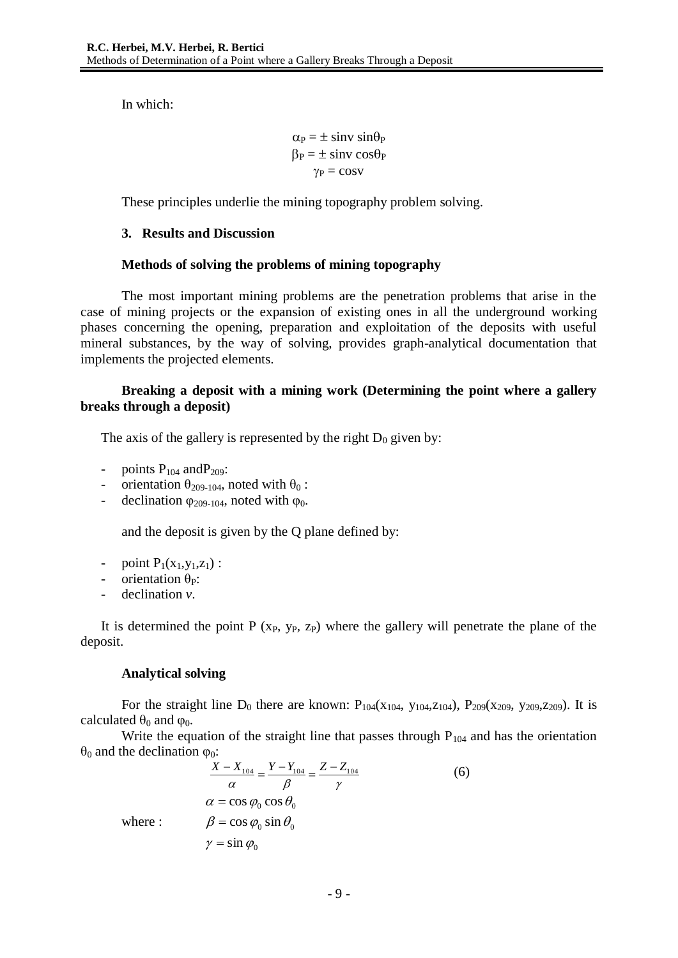In which:

$$
\alpha_P = \pm \sin v \sin \theta_P \n\beta_P = \pm \sin v \cos \theta_P \n\gamma_P = \cos v
$$

These principles underlie the mining topography problem solving.

# **3. Results and Discussion**

### **Methods of solving the problems of mining topography**

The most important mining problems are the penetration problems that arise in the case of mining projects or the expansion of existing ones in all the underground working phases concerning the opening, preparation and exploitation of the deposits with useful mineral substances, by the way of solving, provides graph-analytical documentation that implements the projected elements.

# **Breaking a deposit with a mining work (Determining the point where a gallery breaks through a deposit)**

The axis of the gallery is represented by the right  $D_0$  given by:

- points  $P_{104}$  and  $P_{209}$ :
- orientation  $θ$ <sub>209-104</sub>, noted with  $θ$ <sub>0</sub> :
- declination  $\varphi_{209-104}$ , noted with  $\varphi_0$ .

and the deposit is given by the Q plane defined by:

- point  $P_1(x_1,y_1,z_1)$ :
- orientation  $\theta_P$ :
- declination *v*.

It is determined the point  $P(x_P, y_P, z_P)$  where the gallery will penetrate the plane of the deposit.

### **Analytical solving**

For the straight line  $D_0$  there are known:  $P_{104}(x_{104}, y_{104}, z_{104})$ ,  $P_{209}(x_{209}, y_{209}, z_{209})$ . It is calculated  $\theta_0$  and  $\varphi_0$ .

Write the equation of the straight line that passes through  $P_{104}$  and has the orientation  $θ$ <sub>0</sub> and the declination  $φ$ <sub>0</sub>:

$$
\frac{X - X_{104}}{\alpha} = \frac{Y - Y_{104}}{\beta} = \frac{Z - Z_{104}}{\gamma}
$$
\n
$$
\alpha = \cos \varphi_0 \cos \theta_0
$$
\n
$$
\varphi = \cos \varphi_0 \sin \theta_0
$$
\n
$$
\gamma = \sin \varphi_0
$$
\n(6)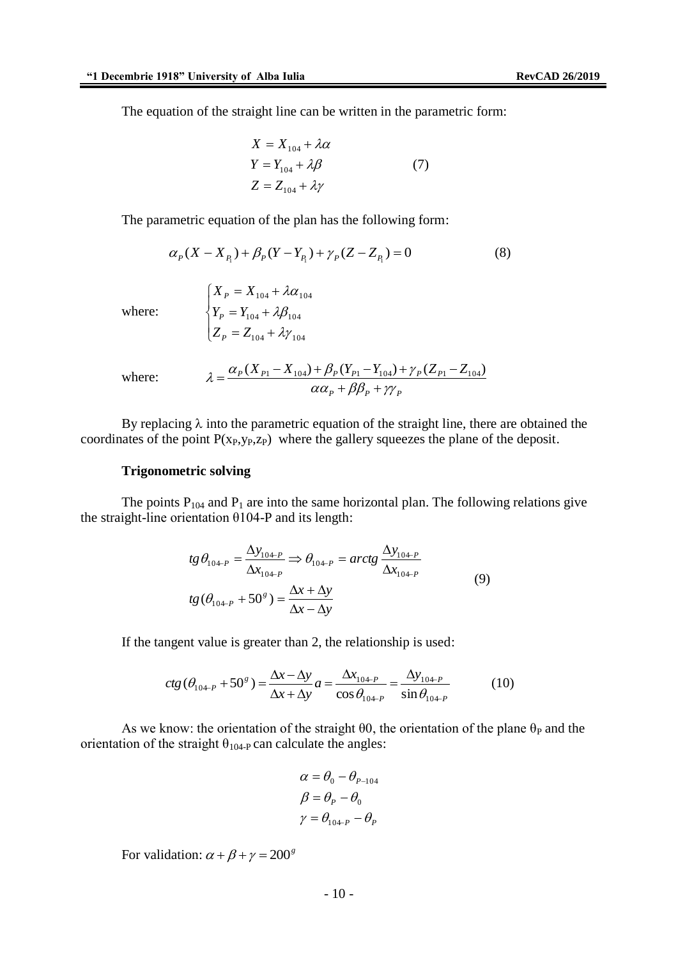The equation of the straight line can be written in the parametric form:

$$
X = X_{104} + \lambda \alpha
$$
  
\n
$$
Y = Y_{104} + \lambda \beta
$$
 (7)  
\n
$$
Z = Z_{104} + \lambda \gamma
$$

The parametric equation of the plan has the following form:

$$
\alpha_P(X - X_{P_1}) + \beta_P(Y - Y_{P_1}) + \gamma_P(Z - Z_{P_1}) = 0 \tag{8}
$$

where:

$$
\begin{cases}\nX_P = X_{104} + \lambda \alpha_{104} \\
Y_P = Y_{104} + \lambda \beta_{104} \\
Z_P = Z_{104} + \lambda \gamma_{104}\n\end{cases}
$$

where: 
$$
\lambda = \frac{\alpha_P (X_{P1} - X_{104}) + \beta_P (Y_{P1} - Y_{104}) + \gamma_P (Z_{P1} - Z_{104})}{\alpha \alpha_P + \beta \beta_P + \gamma \gamma_P}
$$

By replacing  $\lambda$  into the parametric equation of the straight line, there are obtained the coordinates of the point  $P(x_P, y_P, z_P)$  where the gallery squeezes the plane of the deposit.

#### **Trigonometric solving**

The points  $P_{104}$  and  $P_1$  are into the same horizontal plan. The following relations give the straight-line orientation θ104-P and its length:

$$
tg \theta_{10^{4-P}} = \frac{\Delta y_{10^{4-P}}}{\Delta x_{10^{4-P}}} \Rightarrow \theta_{10^{4-P}} = arctg \frac{\Delta y_{10^{4-P}}}{\Delta x_{10^{4-P}}}
$$
  

$$
tg (\theta_{10^{4-P}} + 50^s) = \frac{\Delta x + \Delta y}{\Delta x - \Delta y}
$$
 (9)

If the tangent value is greater than 2, the relationship is used:

$$
ctg\left(\theta_{10^{4-p}} + 50^{g}\right) = \frac{\Delta x - \Delta y}{\Delta x + \Delta y}a = \frac{\Delta x_{10^{4-p}}}{\cos\theta_{10^{4-p}}} = \frac{\Delta y_{10^{4-p}}}{\sin\theta_{10^{4-p}}}
$$
(10)

As we know: the orientation of the straight  $\theta$ 0, the orientation of the plane  $\theta$  and the orientation of the straight  $\theta_{104\text{-}P}$  can calculate the angles:

$$
\alpha = \theta_0 - \theta_{P-104}
$$

$$
\beta = \theta_P - \theta_0
$$

$$
\gamma = \theta_{10+P} - \theta_P
$$

For validation:  $\alpha + \beta + \gamma = 200^{\circ}$ 

 $-10-$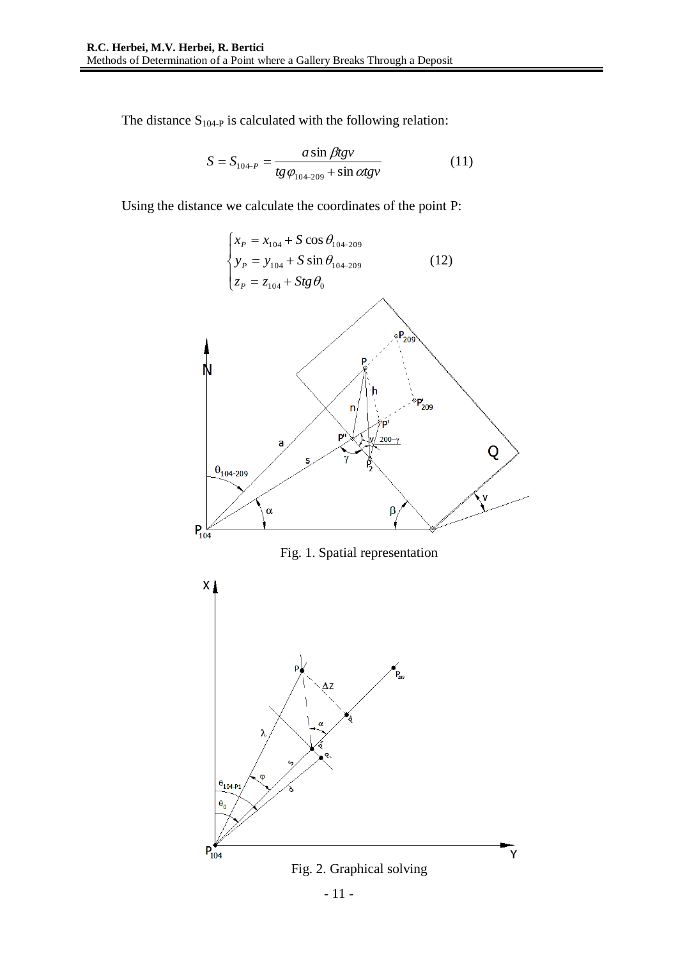The distance  $S_{104-P}$  is calculated with the following relation:

$$
S = S_{10+P} = \frac{a \sin \beta t g v}{t g \varphi_{10+209} + \sin \alpha t g v}
$$
 (11)

Using the distance we calculate the coordinates of the point P:

$$
\begin{cases}\n x_P = x_{104} + S \cos \theta_{104-209} \\
 y_P = y_{104} + S \sin \theta_{104-209} \\
 z_P = z_{104} + Stg \theta_0\n\end{cases}
$$
\n(12)

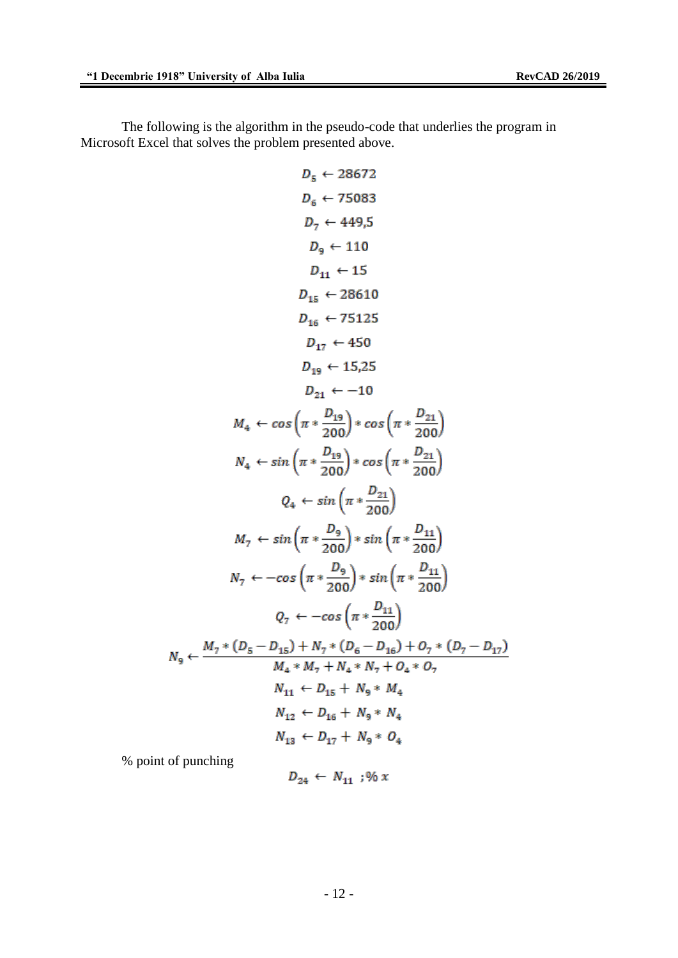The following is the algorithm in the pseudo-code that underlies the program in Microsoft Excel that solves the problem presented above.

$$
D_{5} \leftarrow 28672
$$
\n
$$
D_{6} \leftarrow 75083
$$
\n
$$
D_{7} \leftarrow 449,5
$$
\n
$$
D_{9} \leftarrow 110
$$
\n
$$
D_{11} \leftarrow 15
$$
\n
$$
D_{15} \leftarrow 28610
$$
\n
$$
D_{16} \leftarrow 75125
$$
\n
$$
D_{17} \leftarrow 450
$$
\n
$$
D_{19} \leftarrow 15,25
$$
\n
$$
D_{21} \leftarrow -10
$$
\n
$$
M_{4} \leftarrow \cos\left(\pi * \frac{D_{19}}{200}\right) * \cos\left(\pi * \frac{D_{21}}{200}\right)\right)
$$
\n
$$
N_{4} \leftarrow \sin\left(\pi * \frac{D_{19}}{200}\right) * \cos\left(\pi * \frac{D_{21}}{200}\right)
$$
\n
$$
Q_{4} \leftarrow \sin\left(\pi * \frac{D_{21}}{200}\right)
$$
\n
$$
M_{7} \leftarrow \sin\left(\pi * \frac{D_{9}}{200}\right) * \sin\left(\pi * \frac{D_{11}}{200}\right)
$$
\n
$$
N_{7} \leftarrow -\cos\left(\pi * \frac{D_{9}}{200}\right) * \sin\left(\pi * \frac{D_{11}}{200}\right)
$$
\n
$$
Q_{7} \leftarrow -\cos\left(\pi * \frac{D_{11}}{200}\right)
$$
\n
$$
Q_{7} \leftarrow -\cos\left(\pi * \frac{D_{11}}{200}\right)
$$
\n
$$
N_{9} \leftarrow \frac{M_{7} * (D_{5} - D_{15}) + N_{7} * (D_{6} - D_{16}) + O_{7} * (D_{7} - D_{17})}{M_{4} * M_{7} + N_{4} * N_{7} + O_{4} * O_{7}}
$$
\n
$$
N_{11} \leftarrow D_{15} + N_{9} * M_{4}
$$
\n
$$
N_{12} \leftarrow D_{16} + N_{9} * N_{4}
$$
\n
$$
N_{13} \leftarrow D
$$

% point of punching

$$
D_{24} \leftarrow N_{11} ; \% x
$$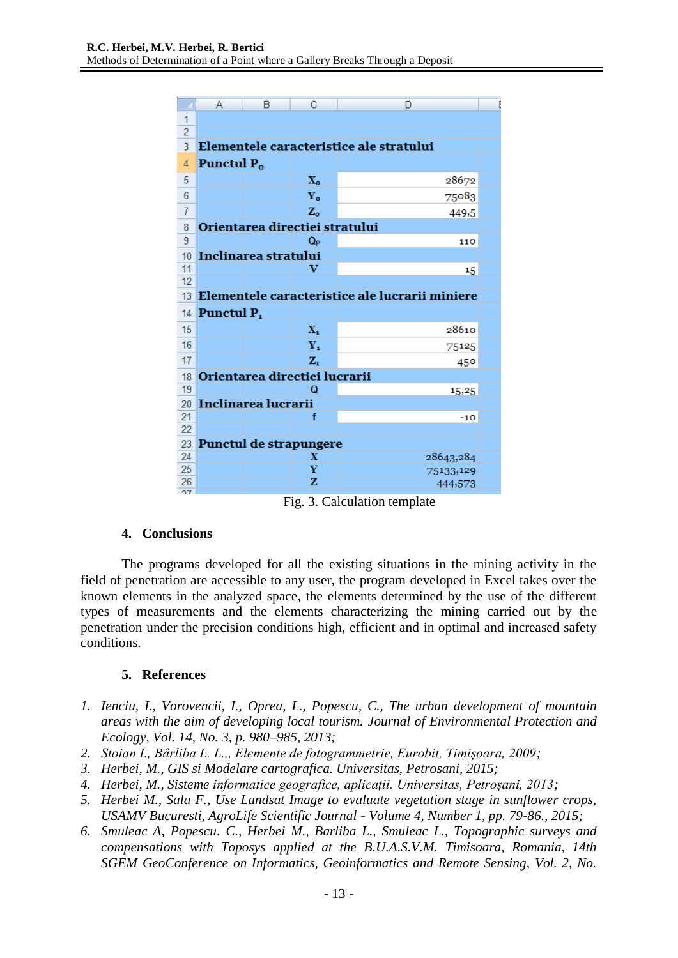|                 | А                                              | B | c                       | D                                       |  |
|-----------------|------------------------------------------------|---|-------------------------|-----------------------------------------|--|
| 1               |                                                |   |                         |                                         |  |
| $\overline{2}$  |                                                |   |                         |                                         |  |
| 3               |                                                |   |                         | Elementele caracteristice ale stratului |  |
| 4               | Punctul P <sub>o</sub>                         |   |                         |                                         |  |
| 5               |                                                |   | $\mathbf{X}_0$          | 28672                                   |  |
| 6               |                                                |   | $Y_{o}$                 | 75083                                   |  |
| $\overline{7}$  |                                                |   | $Z_{o}$                 | 449,5                                   |  |
| 8               | Orientarea directiei stratului                 |   |                         |                                         |  |
| 9               |                                                |   | Q <sub>P</sub>          | 110                                     |  |
| 10              | Inclinarea stratului                           |   |                         |                                         |  |
| 11              |                                                |   | v                       | 15                                      |  |
| 12              |                                                |   |                         |                                         |  |
| 13 <sup>1</sup> | Elementele caracteristice ale lucrarii miniere |   |                         |                                         |  |
| 14              | Punctul P <sub>1</sub>                         |   |                         |                                         |  |
| 15              |                                                |   | $\mathbf{X}_1$          | 28610                                   |  |
| 16              |                                                |   | $\mathbf{Y}_{\bullet}$  | 75125                                   |  |
| 17              |                                                |   | $Z_i$                   | 450                                     |  |
| 18              | Orientarea directiei lucrarii                  |   |                         |                                         |  |
| 19              |                                                |   | Q                       | 15,25                                   |  |
| 20              | Inclinarea lucrarii                            |   |                         |                                         |  |
| 21              |                                                |   | f                       | $-10$                                   |  |
| 22              |                                                |   |                         |                                         |  |
| 23              | Punctul de strapungere                         |   |                         |                                         |  |
| 24              |                                                |   | $\overline{\mathbf{X}}$ | 28643,284                               |  |
| 25<br>26        |                                                |   | Y<br>z                  | 75133,129                               |  |
| $-1$            |                                                |   |                         | 444,573                                 |  |

Fig. 3. Calculation template

### **4. Conclusions**

The programs developed for all the existing situations in the mining activity in the field of penetration are accessible to any user, the program developed in Excel takes over the known elements in the analyzed space, the elements determined by the use of the different types of measurements and the elements characterizing the mining carried out by the penetration under the precision conditions high, efficient and in optimal and increased safety conditions.

### **5. References**

- *1. Ienciu, I., Vorovencii, I., Oprea, L., Popescu, C., The urban development of mountain areas with the aim of developing local tourism. Journal of Environmental Protection and Ecology, Vol. 14, No. 3, p. 980–985, 2013;*
- *2. Stoian I., Bârliba L. L.,, Elemente de fotogrammetrie, Eurobit, Timișoara, 2009;*
- *3. Herbei, M., GIS si Modelare cartografica. Universitas, Petrosani, 2015;*
- *4. Herbei, M., Sisteme informatice geografice, aplicaţii. Universitas, Petroşani, 2013;*
- *5. Herbei M., Sala F., Use Landsat Image to evaluate vegetation stage in sunflower crops, USAMV Bucuresti, AgroLife Scientific Journal - Volume 4, Number 1, pp. 79-86., 2015;*
- *6. Smuleac A, Popescu. C., Herbei M., Barliba L., Smuleac L., Topographic surveys and compensations with Toposys applied at the B.U.A.S.V.M. Timisoara, Romania, 14th SGEM GeoConference on Informatics, Geoinformatics and Remote Sensing, Vol. 2, No.*